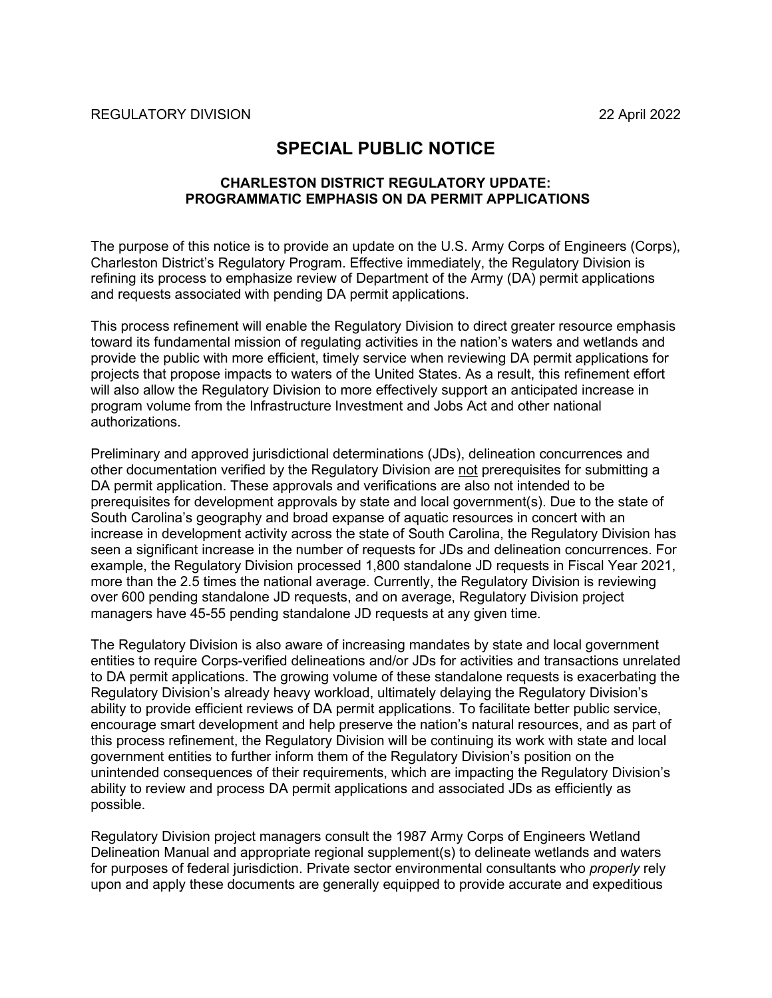## **SPECIAL PUBLIC NOTICE**

## **CHARLESTON DISTRICT REGULATORY UPDATE: PROGRAMMATIC EMPHASIS ON DA PERMIT APPLICATIONS**

The purpose of this notice is to provide an update on the U.S. Army Corps of Engineers (Corps), Charleston District's Regulatory Program. Effective immediately, the Regulatory Division is refining its process to emphasize review of Department of the Army (DA) permit applications and requests associated with pending DA permit applications.

This process refinement will enable the Regulatory Division to direct greater resource emphasis toward its fundamental mission of regulating activities in the nation's waters and wetlands and provide the public with more efficient, timely service when reviewing DA permit applications for projects that propose impacts to waters of the United States. As a result, this refinement effort will also allow the Regulatory Division to more effectively support an anticipated increase in program volume from the Infrastructure Investment and Jobs Act and other national authorizations.

Preliminary and approved jurisdictional determinations (JDs), delineation concurrences and other documentation verified by the Regulatory Division are not prerequisites for submitting a DA permit application. These approvals and verifications are also not intended to be prerequisites for development approvals by state and local government(s). Due to the state of South Carolina's geography and broad expanse of aquatic resources in concert with an increase in development activity across the state of South Carolina, the Regulatory Division has seen a significant increase in the number of requests for JDs and delineation concurrences. For example, the Regulatory Division processed 1,800 standalone JD requests in Fiscal Year 2021, more than the 2.5 times the national average. Currently, the Regulatory Division is reviewing over 600 pending standalone JD requests, and on average, Regulatory Division project managers have 45-55 pending standalone JD requests at any given time.

The Regulatory Division is also aware of increasing mandates by state and local government entities to require Corps-verified delineations and/or JDs for activities and transactions unrelated to DA permit applications. The growing volume of these standalone requests is exacerbating the Regulatory Division's already heavy workload, ultimately delaying the Regulatory Division's ability to provide efficient reviews of DA permit applications. To facilitate better public service, encourage smart development and help preserve the nation's natural resources, and as part of this process refinement, the Regulatory Division will be continuing its work with state and local government entities to further inform them of the Regulatory Division's position on the unintended consequences of their requirements, which are impacting the Regulatory Division's ability to review and process DA permit applications and associated JDs as efficiently as possible.

Regulatory Division project managers consult the 1987 Army Corps of Engineers Wetland Delineation Manual and appropriate regional supplement(s) to delineate wetlands and waters for purposes of federal jurisdiction. Private sector environmental consultants who *properly* rely upon and apply these documents are generally equipped to provide accurate and expeditious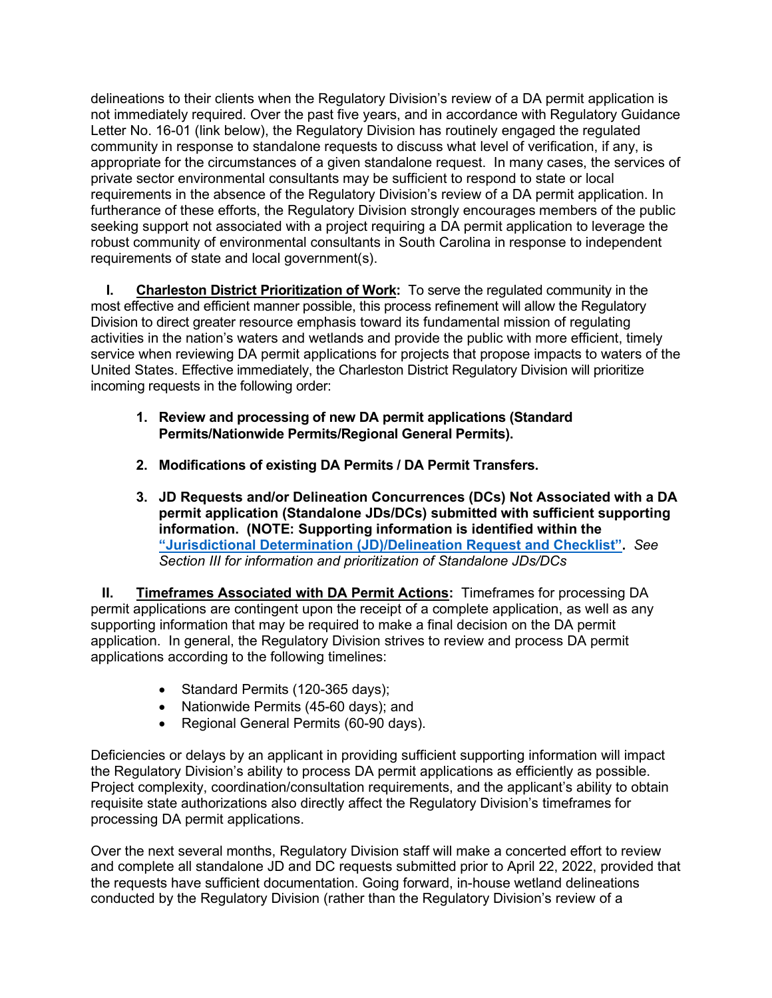delineations to their clients when the Regulatory Division's review of a DA permit application is not immediately required. Over the past five years, and in accordance with Regulatory Guidance Letter No. 16-01 (link below), the Regulatory Division has routinely engaged the regulated community in response to standalone requests to discuss what level of verification, if any, is appropriate for the circumstances of a given standalone request. In many cases, the services of private sector environmental consultants may be sufficient to respond to state or local requirements in the absence of the Regulatory Division's review of a DA permit application. In furtherance of these efforts, the Regulatory Division strongly encourages members of the public seeking support not associated with a project requiring a DA permit application to leverage the robust community of environmental consultants in South Carolina in response to independent requirements of state and local government(s).

**I. Charleston District Prioritization of Work:** To serve the regulated community in the most effective and efficient manner possible, this process refinement will allow the Regulatory Division to direct greater resource emphasis toward its fundamental mission of regulating activities in the nation's waters and wetlands and provide the public with more efficient, timely service when reviewing DA permit applications for projects that propose impacts to waters of the United States. Effective immediately, the Charleston District Regulatory Division will prioritize incoming requests in the following order:

- **1. Review and processing of new DA permit applications (Standard Permits/Nationwide Permits/Regional General Permits).**
- **2. Modifications of existing DA Permits / DA Permit Transfers.**
- **3. JD Requests and/or Delineation Concurrences (DCs) Not Associated with a DA permit application (Standalone JDs/DCs) submitted with sufficient supporting information. (NOTE: Supporting information is identified within the ["Jurisdictional Determination \(JD\)/Delineation](https://www.sac.usace.army.mil/Portals/43/docs/regulatory/JD%20Request%20Form%20Checklist%20FINAL%204-21-22.pdf?ver=t-fE0bxaiNiRIJiucN2KrQ%3d%3d) Request and Checklist".** *See Section III for information and prioritization of Standalone JDs/DCs*

**II. Timeframes Associated with DA Permit Actions:** Timeframes for processing DA permit applications are contingent upon the receipt of a complete application, as well as any supporting information that may be required to make a final decision on the DA permit application. In general, the Regulatory Division strives to review and process DA permit applications according to the following timelines:

- Standard Permits (120-365 days);
- Nationwide Permits (45-60 days); and
- Regional General Permits (60-90 days).

Deficiencies or delays by an applicant in providing sufficient supporting information will impact the Regulatory Division's ability to process DA permit applications as efficiently as possible. Project complexity, coordination/consultation requirements, and the applicant's ability to obtain requisite state authorizations also directly affect the Regulatory Division's timeframes for processing DA permit applications.

Over the next several months, Regulatory Division staff will make a concerted effort to review and complete all standalone JD and DC requests submitted prior to April 22, 2022, provided that the requests have sufficient documentation. Going forward, in-house wetland delineations conducted by the Regulatory Division (rather than the Regulatory Division's review of a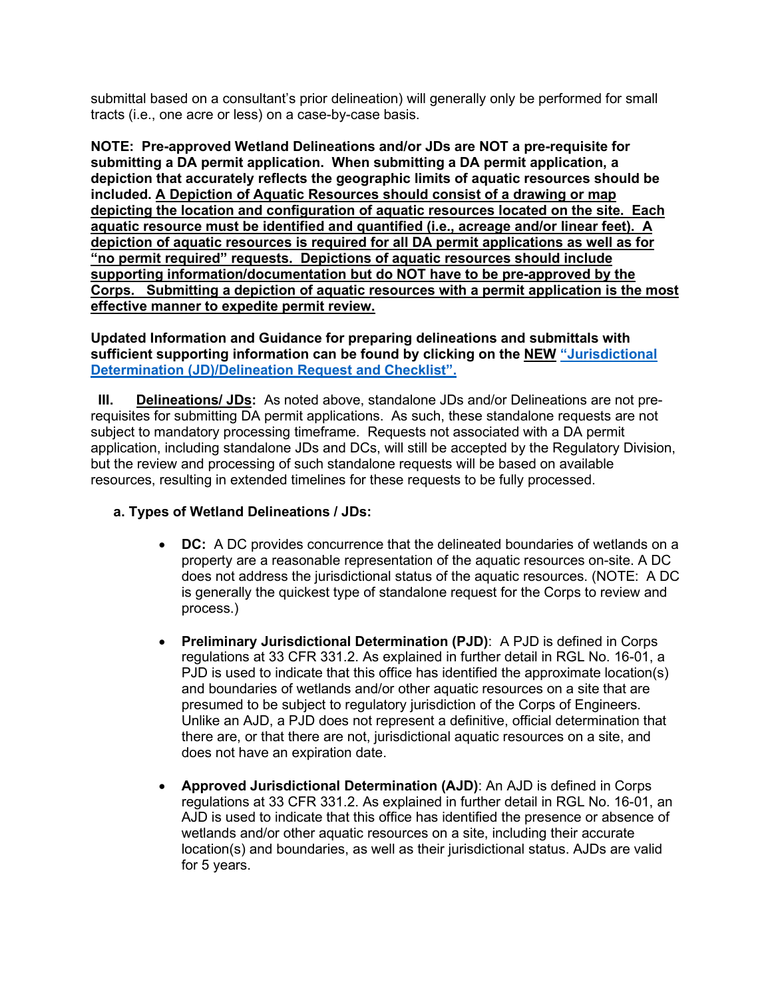submittal based on a consultant's prior delineation) will generally only be performed for small tracts (i.e., one acre or less) on a case-by-case basis.

**NOTE: Pre-approved Wetland Delineations and/or JDs are NOT a pre-requisite for submitting a DA permit application. When submitting a DA permit application, a depiction that accurately reflects the geographic limits of aquatic resources should be included. A Depiction of Aquatic Resources should consist of a drawing or map depicting the location and configuration of aquatic resources located on the site. Each aquatic resource must be identified and quantified (i.e., acreage and/or linear feet). A depiction of aquatic resources is required for all DA permit applications as well as for "no permit required" requests. Depictions of aquatic resources should include supporting information/documentation but do NOT have to be pre-approved by the Corps. Submitting a depiction of aquatic resources with a permit application is the most effective manner to expedite permit review.** 

**Updated Information and Guidance for preparing delineations and submittals with sufficient supporting information can be found by clicking on the NEW ["Jurisdictional](https://www.sac.usace.army.mil/Portals/43/docs/regulatory/JD%20Request%20Form%20Checklist%20FINAL%204-21-22.pdf?ver=t-fE0bxaiNiRIJiucN2KrQ%3d%3d)  [Determination \(JD\)/Delineation](https://www.sac.usace.army.mil/Portals/43/docs/regulatory/JD%20Request%20Form%20Checklist%20FINAL%204-21-22.pdf?ver=t-fE0bxaiNiRIJiucN2KrQ%3d%3d) Request and Checklist".**

**III. Delineations/ JDs:** As noted above, standalone JDs and/or Delineations are not prerequisites for submitting DA permit applications. As such, these standalone requests are not subject to mandatory processing timeframe. Requests not associated with a DA permit application, including standalone JDs and DCs, will still be accepted by the Regulatory Division, but the review and processing of such standalone requests will be based on available resources, resulting in extended timelines for these requests to be fully processed.

## **a. Types of Wetland Delineations / JDs:**

- **DC:** A DC provides concurrence that the delineated boundaries of wetlands on a property are a reasonable representation of the aquatic resources on-site. A DC does not address the jurisdictional status of the aquatic resources. (NOTE: A DC is generally the quickest type of standalone request for the Corps to review and process.)
- **Preliminary Jurisdictional Determination (PJD)**: A PJD is defined in Corps regulations at 33 CFR 331.2. As explained in further detail in RGL No. 16-01, a PJD is used to indicate that this office has identified the approximate location(s) and boundaries of wetlands and/or other aquatic resources on a site that are presumed to be subject to regulatory jurisdiction of the Corps of Engineers. Unlike an AJD, a PJD does not represent a definitive, official determination that there are, or that there are not, jurisdictional aquatic resources on a site, and does not have an expiration date.
- **Approved Jurisdictional Determination (AJD)**: An AJD is defined in Corps regulations at 33 CFR 331.2. As explained in further detail in RGL No. 16-01, an AJD is used to indicate that this office has identified the presence or absence of wetlands and/or other aquatic resources on a site, including their accurate location(s) and boundaries, as well as their jurisdictional status. AJDs are valid for 5 years.